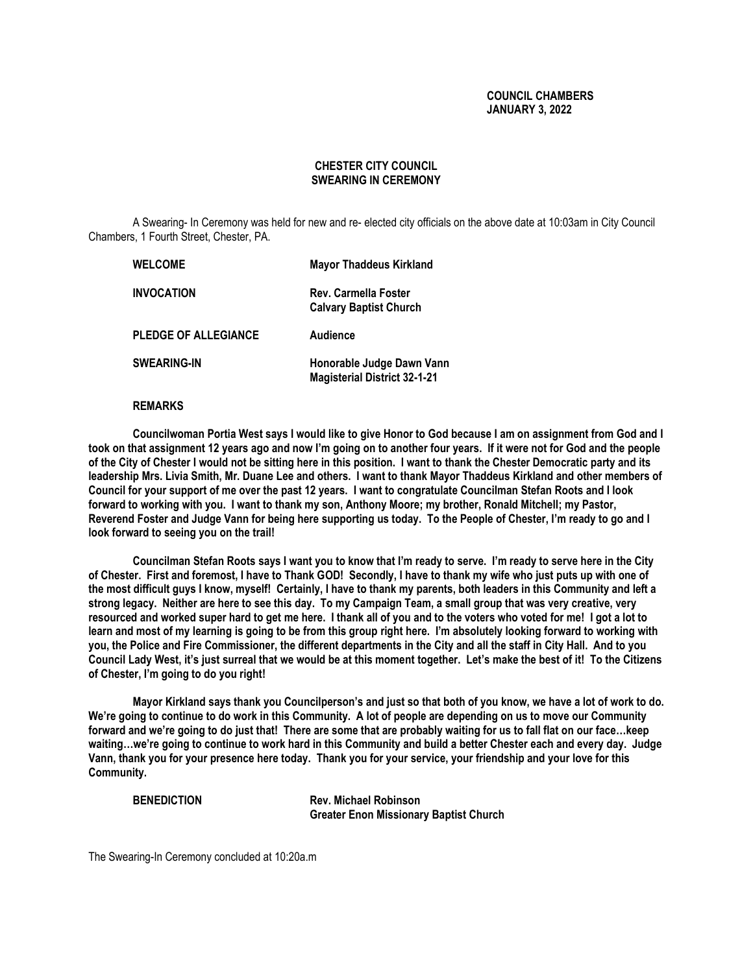# **COUNCIL CHAMBERS JANUARY 3, 2022**

# **CHESTER CITY COUNCIL SWEARING IN CEREMONY**

A Swearing- In Ceremony was held for new and re- elected city officials on the above date at 10:03am in City Council Chambers, 1 Fourth Street, Chester, PA.

| <b>WELCOME</b>              | <b>Mayor Thaddeus Kirkland</b>                                   |
|-----------------------------|------------------------------------------------------------------|
| <b>INVOCATION</b>           | Rev. Carmella Foster<br><b>Calvary Baptist Church</b>            |
| <b>PLEDGE OF ALLEGIANCE</b> | Audience                                                         |
| <b>SWEARING-IN</b>          | Honorable Judge Dawn Vann<br><b>Magisterial District 32-1-21</b> |

## **REMARKS**

**Councilwoman Portia West says I would like to give Honor to God because I am on assignment from God and I took on that assignment 12 years ago and now I'm going on to another four years. If it were not for God and the people of the City of Chester I would not be sitting here in this position. I want to thank the Chester Democratic party and its leadership Mrs. Livia Smith, Mr. Duane Lee and others. I want to thank Mayor Thaddeus Kirkland and other members of Council for your support of me over the past 12 years. I want to congratulate Councilman Stefan Roots and I look forward to working with you. I want to thank my son, Anthony Moore; my brother, Ronald Mitchell; my Pastor, Reverend Foster and Judge Vann for being here supporting us today. To the People of Chester, I'm ready to go and I look forward to seeing you on the trail!**

**Councilman Stefan Roots says I want you to know that I'm ready to serve. I'm ready to serve here in the City of Chester. First and foremost, I have to Thank GOD! Secondly, I have to thank my wife who just puts up with one of the most difficult guys I know, myself! Certainly, I have to thank my parents, both leaders in this Community and left a strong legacy. Neither are here to see this day. To my Campaign Team, a small group that was very creative, very resourced and worked super hard to get me here. I thank all of you and to the voters who voted for me! I got a lot to learn and most of my learning is going to be from this group right here. I'm absolutely looking forward to working with you, the Police and Fire Commissioner, the different departments in the City and all the staff in City Hall. And to you Council Lady West, it's just surreal that we would be at this moment together. Let's make the best of it! To the Citizens of Chester, I'm going to do you right!**

**Mayor Kirkland says thank you Councilperson's and just so that both of you know, we have a lot of work to do. We're going to continue to do work in this Community. A lot of people are depending on us to move our Community forward and we're going to do just that! There are some that are probably waiting for us to fall flat on our face…keep waiting…we're going to continue to work hard in this Community and build a better Chester each and every day. Judge Vann, thank you for your presence here today. Thank you for your service, your friendship and your love for this Community.**

**BENEDICTION Rev. Michael Robinson Greater Enon Missionary Baptist Church**

The Swearing-In Ceremony concluded at 10:20a.m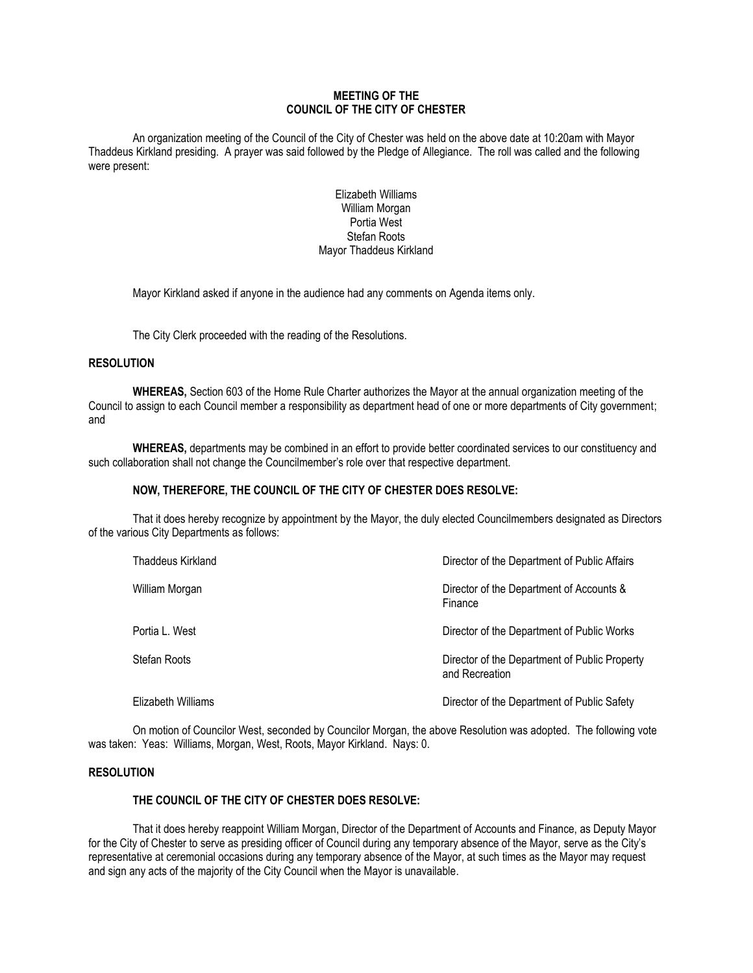# **MEETING OF THE COUNCIL OF THE CITY OF CHESTER**

An organization meeting of the Council of the City of Chester was held on the above date at 10:20am with Mayor Thaddeus Kirkland presiding. A prayer was said followed by the Pledge of Allegiance. The roll was called and the following were present:

# Elizabeth Williams William Morgan Portia West Stefan Roots Mayor Thaddeus Kirkland

Mayor Kirkland asked if anyone in the audience had any comments on Agenda items only.

The City Clerk proceeded with the reading of the Resolutions.

## **RESOLUTION**

**WHEREAS,** Section 603 of the Home Rule Charter authorizes the Mayor at the annual organization meeting of the Council to assign to each Council member a responsibility as department head of one or more departments of City government; and

**WHEREAS,** departments may be combined in an effort to provide better coordinated services to our constituency and such collaboration shall not change the Councilmember's role over that respective department.

# **NOW, THEREFORE, THE COUNCIL OF THE CITY OF CHESTER DOES RESOLVE:**

That it does hereby recognize by appointment by the Mayor, the duly elected Councilmembers designated as Directors of the various City Departments as follows:

| Thaddeus Kirkland  | Director of the Department of Public Affairs                    |
|--------------------|-----------------------------------------------------------------|
| William Morgan     | Director of the Department of Accounts &<br>Finance             |
| Portia L. West     | Director of the Department of Public Works                      |
| Stefan Roots       | Director of the Department of Public Property<br>and Recreation |
| Elizabeth Williams | Director of the Department of Public Safety                     |

On motion of Councilor West, seconded by Councilor Morgan, the above Resolution was adopted. The following vote was taken: Yeas: Williams, Morgan, West, Roots, Mayor Kirkland. Nays: 0.

## **RESOLUTION**

# **THE COUNCIL OF THE CITY OF CHESTER DOES RESOLVE:**

That it does hereby reappoint William Morgan, Director of the Department of Accounts and Finance, as Deputy Mayor for the City of Chester to serve as presiding officer of Council during any temporary absence of the Mayor, serve as the City's representative at ceremonial occasions during any temporary absence of the Mayor, at such times as the Mayor may request and sign any acts of the majority of the City Council when the Mayor is unavailable.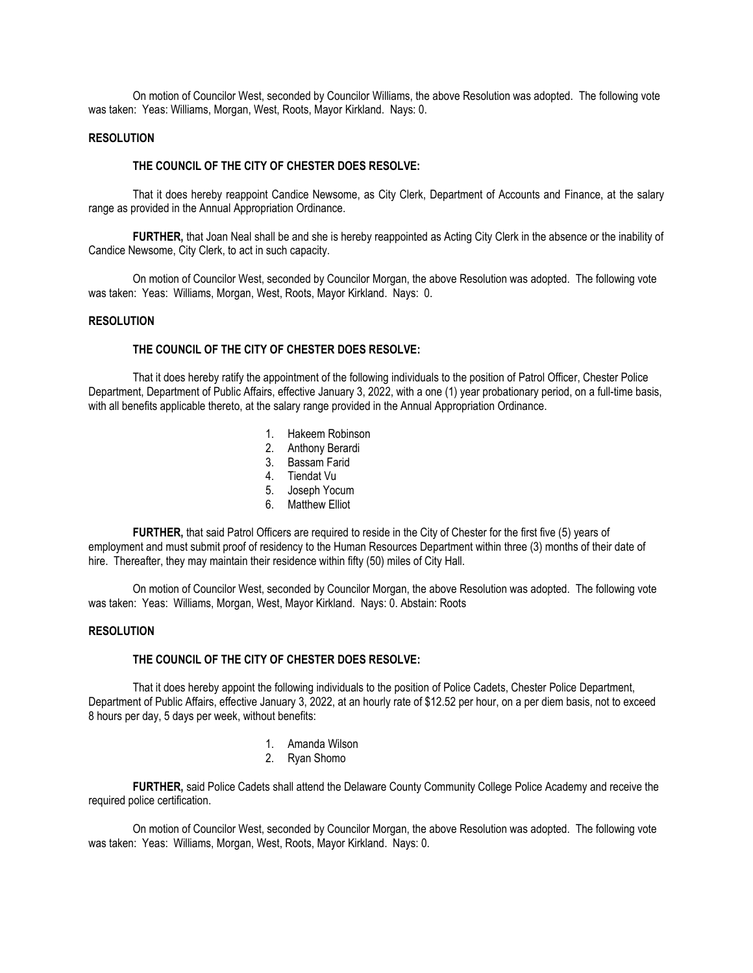On motion of Councilor West, seconded by Councilor Williams, the above Resolution was adopted. The following vote was taken: Yeas: Williams, Morgan, West, Roots, Mayor Kirkland. Nays: 0.

## **RESOLUTION**

### **THE COUNCIL OF THE CITY OF CHESTER DOES RESOLVE:**

That it does hereby reappoint Candice Newsome, as City Clerk, Department of Accounts and Finance, at the salary range as provided in the Annual Appropriation Ordinance.

**FURTHER,** that Joan Neal shall be and she is hereby reappointed as Acting City Clerk in the absence or the inability of Candice Newsome, City Clerk, to act in such capacity.

On motion of Councilor West, seconded by Councilor Morgan, the above Resolution was adopted. The following vote was taken: Yeas: Williams, Morgan, West, Roots, Mayor Kirkland. Nays: 0.

### **RESOLUTION**

#### **THE COUNCIL OF THE CITY OF CHESTER DOES RESOLVE:**

That it does hereby ratify the appointment of the following individuals to the position of Patrol Officer, Chester Police Department, Department of Public Affairs, effective January 3, 2022, with a one (1) year probationary period, on a full-time basis, with all benefits applicable thereto, at the salary range provided in the Annual Appropriation Ordinance.

- 1. Hakeem Robinson
- 2. Anthony Berardi
- 3. Bassam Farid
- 4. Tiendat Vu
- 5. Joseph Yocum
- 6. Matthew Elliot

**FURTHER,** that said Patrol Officers are required to reside in the City of Chester for the first five (5) years of employment and must submit proof of residency to the Human Resources Department within three (3) months of their date of hire. Thereafter, they may maintain their residence within fifty (50) miles of City Hall.

On motion of Councilor West, seconded by Councilor Morgan, the above Resolution was adopted. The following vote was taken: Yeas: Williams, Morgan, West, Mayor Kirkland. Nays: 0. Abstain: Roots

## **RESOLUTION**

### **THE COUNCIL OF THE CITY OF CHESTER DOES RESOLVE:**

That it does hereby appoint the following individuals to the position of Police Cadets, Chester Police Department, Department of Public Affairs, effective January 3, 2022, at an hourly rate of \$12.52 per hour, on a per diem basis, not to exceed 8 hours per day, 5 days per week, without benefits:

- 1. Amanda Wilson
- 2. Ryan Shomo

**FURTHER,** said Police Cadets shall attend the Delaware County Community College Police Academy and receive the required police certification.

On motion of Councilor West, seconded by Councilor Morgan, the above Resolution was adopted. The following vote was taken: Yeas: Williams, Morgan, West, Roots, Mayor Kirkland. Nays: 0.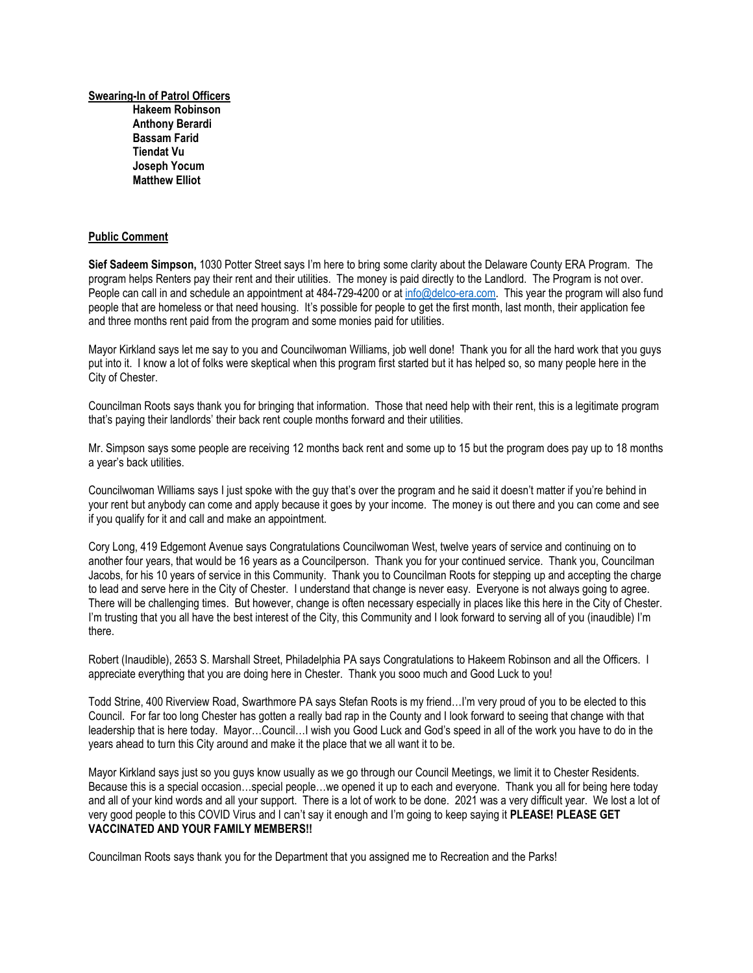**Swearing-In of Patrol Officers Hakeem Robinson Anthony Berardi Bassam Farid Tiendat Vu Joseph Yocum Matthew Elliot**

### **Public Comment**

**Sief Sadeem Simpson,** 1030 Potter Street says I'm here to bring some clarity about the Delaware County ERA Program. The program helps Renters pay their rent and their utilities. The money is paid directly to the Landlord. The Program is not over. People can call in and schedule an appointment at 484-729-4200 or a[t info@delco-era.com.](mailto:info@delco-era.com) This year the program will also fund people that are homeless or that need housing. It's possible for people to get the first month, last month, their application fee and three months rent paid from the program and some monies paid for utilities.

Mayor Kirkland says let me say to you and Councilwoman Williams, job well done! Thank you for all the hard work that you guys put into it. I know a lot of folks were skeptical when this program first started but it has helped so, so many people here in the City of Chester.

Councilman Roots says thank you for bringing that information. Those that need help with their rent, this is a legitimate program that's paying their landlords' their back rent couple months forward and their utilities.

Mr. Simpson says some people are receiving 12 months back rent and some up to 15 but the program does pay up to 18 months a year's back utilities.

Councilwoman Williams says I just spoke with the guy that's over the program and he said it doesn't matter if you're behind in your rent but anybody can come and apply because it goes by your income. The money is out there and you can come and see if you qualify for it and call and make an appointment.

Cory Long, 419 Edgemont Avenue says Congratulations Councilwoman West, twelve years of service and continuing on to another four years, that would be 16 years as a Councilperson. Thank you for your continued service. Thank you, Councilman Jacobs, for his 10 years of service in this Community. Thank you to Councilman Roots for stepping up and accepting the charge to lead and serve here in the City of Chester. I understand that change is never easy. Everyone is not always going to agree. There will be challenging times. But however, change is often necessary especially in places like this here in the City of Chester. I'm trusting that you all have the best interest of the City, this Community and I look forward to serving all of you (inaudible) I'm there.

Robert (Inaudible), 2653 S. Marshall Street, Philadelphia PA says Congratulations to Hakeem Robinson and all the Officers. I appreciate everything that you are doing here in Chester. Thank you sooo much and Good Luck to you!

Todd Strine, 400 Riverview Road, Swarthmore PA says Stefan Roots is my friend…I'm very proud of you to be elected to this Council. For far too long Chester has gotten a really bad rap in the County and I look forward to seeing that change with that leadership that is here today. Mayor…Council…I wish you Good Luck and God's speed in all of the work you have to do in the years ahead to turn this City around and make it the place that we all want it to be.

Mayor Kirkland says just so you guys know usually as we go through our Council Meetings, we limit it to Chester Residents. Because this is a special occasion…special people…we opened it up to each and everyone. Thank you all for being here today and all of your kind words and all your support. There is a lot of work to be done. 2021 was a very difficult year. We lost a lot of very good people to this COVID Virus and I can't say it enough and I'm going to keep saying it **PLEASE! PLEASE GET VACCINATED AND YOUR FAMILY MEMBERS!!** 

Councilman Roots says thank you for the Department that you assigned me to Recreation and the Parks!